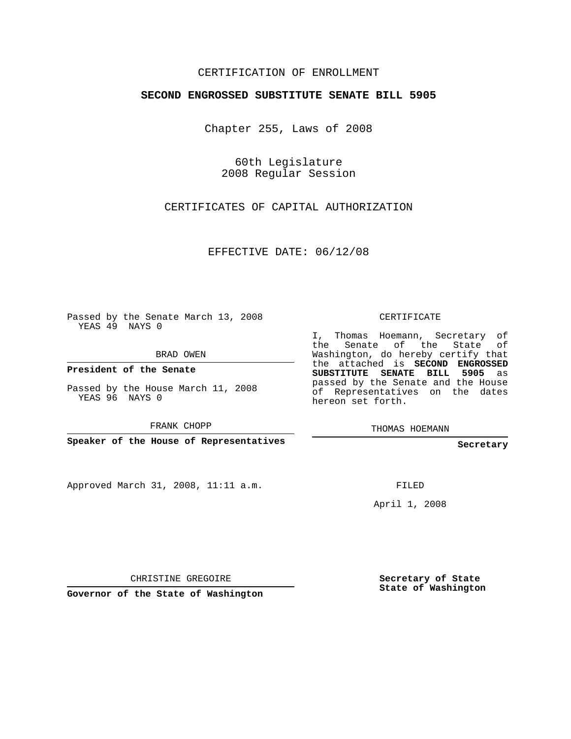## CERTIFICATION OF ENROLLMENT

## **SECOND ENGROSSED SUBSTITUTE SENATE BILL 5905**

Chapter 255, Laws of 2008

60th Legislature 2008 Regular Session

CERTIFICATES OF CAPITAL AUTHORIZATION

EFFECTIVE DATE: 06/12/08

Passed by the Senate March 13, 2008 YEAS 49 NAYS 0

BRAD OWEN

**President of the Senate**

Passed by the House March 11, 2008 YEAS 96 NAYS 0

FRANK CHOPP

**Speaker of the House of Representatives**

Approved March 31, 2008, 11:11 a.m.

CERTIFICATE

I, Thomas Hoemann, Secretary of the Senate of the State of Washington, do hereby certify that the attached is **SECOND ENGROSSED SUBSTITUTE SENATE BILL 5905** as passed by the Senate and the House of Representatives on the dates hereon set forth.

THOMAS HOEMANN

**Secretary**

FILED

April 1, 2008

CHRISTINE GREGOIRE

**Governor of the State of Washington**

**Secretary of State State of Washington**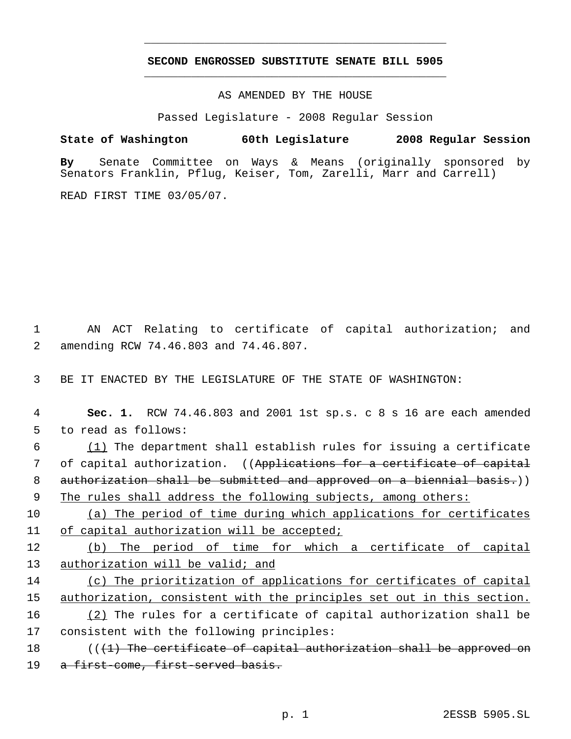## **SECOND ENGROSSED SUBSTITUTE SENATE BILL 5905** \_\_\_\_\_\_\_\_\_\_\_\_\_\_\_\_\_\_\_\_\_\_\_\_\_\_\_\_\_\_\_\_\_\_\_\_\_\_\_\_\_\_\_\_\_

\_\_\_\_\_\_\_\_\_\_\_\_\_\_\_\_\_\_\_\_\_\_\_\_\_\_\_\_\_\_\_\_\_\_\_\_\_\_\_\_\_\_\_\_\_

AS AMENDED BY THE HOUSE

Passed Legislature - 2008 Regular Session

**State of Washington 60th Legislature 2008 Regular Session**

**By** Senate Committee on Ways & Means (originally sponsored by Senators Franklin, Pflug, Keiser, Tom, Zarelli, Marr and Carrell)

READ FIRST TIME 03/05/07.

 1 AN ACT Relating to certificate of capital authorization; and 2 amending RCW 74.46.803 and 74.46.807.

3 BE IT ENACTED BY THE LEGISLATURE OF THE STATE OF WASHINGTON:

 4 **Sec. 1.** RCW 74.46.803 and 2001 1st sp.s. c 8 s 16 are each amended 5 to read as follows: 6 (1) The department shall establish rules for issuing a certificate

7 of capital authorization. ((Applications for a certificate of capital 8 authorization shall be submitted and approved on a biennial basis.)) 9 The rules shall address the following subjects, among others:

10 (a) The period of time during which applications for certificates 11 of capital authorization will be accepted;

12 (b) The period of time for which a certificate of capital 13 authorization will be valid; and

14 (c) The prioritization of applications for certificates of capital 15 authorization, consistent with the principles set out in this section. 16 (2) The rules for a certificate of capital authorization shall be

17 consistent with the following principles:

18 ((<del>(1) The certificate of capital authorization shall be approved on</del> 19 a first-come, first-served basis.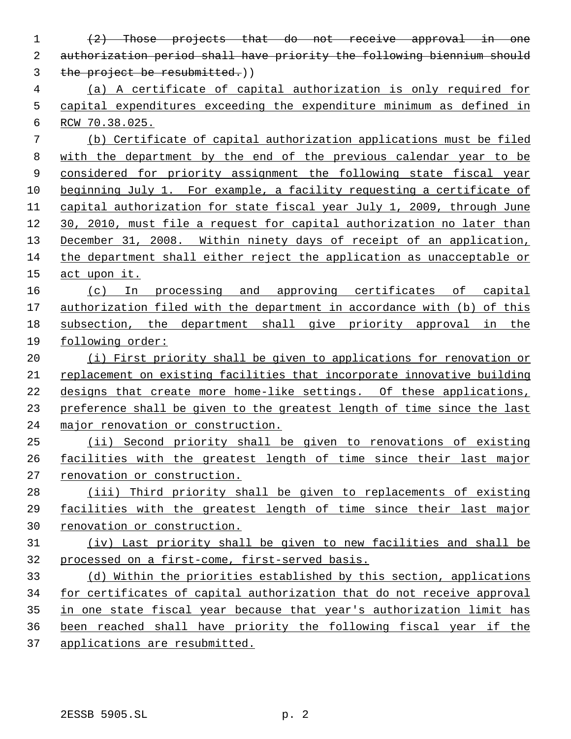(2) Those projects that do not receive approval in one authorization period shall have priority the following biennium should 3 the project be resubmitted.)) (a) A certificate of capital authorization is only required for capital expenditures exceeding the expenditure minimum as defined in RCW 70.38.025. (b) Certificate of capital authorization applications must be filed with the department by the end of the previous calendar year to be 9 considered for priority assignment the following state fiscal year beginning July 1. For example, a facility requesting a certificate of capital authorization for state fiscal year July 1, 2009, through June 30, 2010, must file a request for capital authorization no later than December 31, 2008. Within ninety days of receipt of an application, the department shall either reject the application as unacceptable or act upon it. (c) In processing and approving certificates of capital authorization filed with the department in accordance with (b) of this subsection, the department shall give priority approval in the following order: 20 (i) First priority shall be given to applications for renovation or replacement on existing facilities that incorporate innovative building designs that create more home-like settings. Of these applications, 23 preference shall be given to the greatest length of time since the last major renovation or construction. (ii) Second priority shall be given to renovations of existing facilities with the greatest length of time since their last major renovation or construction. (iii) Third priority shall be given to replacements of existing facilities with the greatest length of time since their last major renovation or construction. (iv) Last priority shall be given to new facilities and shall be processed on a first-come, first-served basis. (d) Within the priorities established by this section, applications for certificates of capital authorization that do not receive approval in one state fiscal year because that year's authorization limit has been reached shall have priority the following fiscal year if the applications are resubmitted.